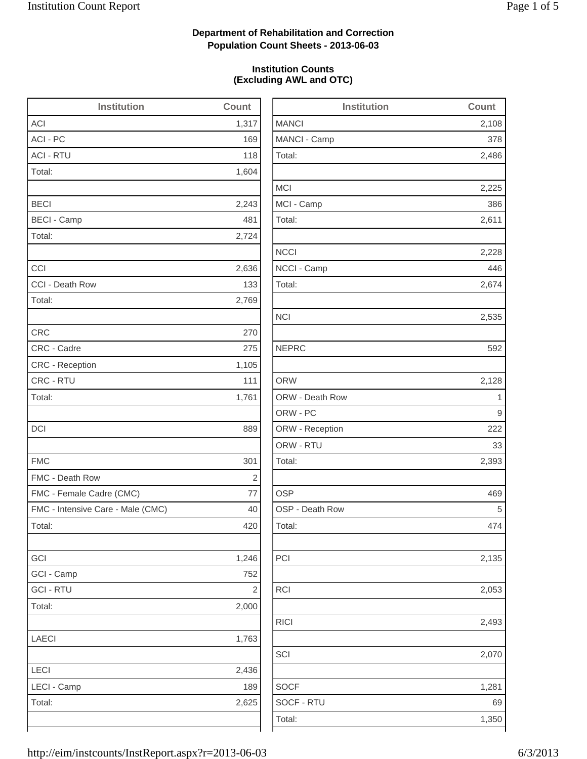## **Department of Rehabilitation and Correction Population Count Sheets - 2013-06-03**

### **Institution Counts (Excluding AWL and OTC)**

| <b>Institution</b>                | Count      | <b>Institution</b> | Count |
|-----------------------------------|------------|--------------------|-------|
| <b>ACI</b>                        | 1,317      | <b>MANCI</b>       | 2,10  |
| ACI - PC                          | 169        | MANCI - Camp       | 37    |
| <b>ACI - RTU</b>                  | 118        | Total:             | 2,48  |
| Total:                            | 1,604      |                    |       |
|                                   |            | <b>MCI</b>         | 2,22  |
| <b>BECI</b>                       | 2,243      | MCI - Camp         | 38    |
| <b>BECI - Camp</b>                | 481        | Total:             | 2,61  |
| Total:                            | 2,724      |                    |       |
|                                   |            | <b>NCCI</b>        | 2,22  |
| CCI                               | 2,636      | NCCI - Camp        | 44    |
| CCI - Death Row                   | 133        | Total:             | 2,67  |
| Total:                            | 2,769      |                    |       |
|                                   |            | <b>NCI</b>         | 2,53  |
| <b>CRC</b>                        | 270        |                    |       |
| CRC - Cadre                       | 275        | <b>NEPRC</b>       | 59    |
| CRC - Reception                   | 1,105      |                    |       |
| CRC - RTU                         | 111        | <b>ORW</b>         | 2,12  |
| Total:                            | 1,761      | ORW - Death Row    |       |
|                                   |            | ORW - PC           |       |
| DCI                               | 889        | ORW - Reception    | 22    |
|                                   |            | ORW - RTU          | 3     |
| <b>FMC</b>                        | 301        | Total:             | 2,39  |
| FMC - Death Row                   | $\sqrt{2}$ |                    |       |
| FMC - Female Cadre (CMC)          | 77         | <b>OSP</b>         | 46    |
| FMC - Intensive Care - Male (CMC) | 40         | OSP - Death Row    |       |
| Total:                            | 420        | Total:             | 47    |
| GCI                               | 1,246      | PCI                | 2,13  |
| GCI - Camp                        | 752        |                    |       |
| <b>GCI - RTU</b>                  | $\sqrt{2}$ | RCI                | 2,05  |
| Total:                            | 2,000      |                    |       |
|                                   |            | <b>RICI</b>        | 2,49  |
| LAECI                             | 1,763      |                    |       |
|                                   |            | SCI                | 2,07  |
| LECI                              | 2,436      |                    |       |
| LECI - Camp                       | 189        | <b>SOCF</b>        | 1,28  |
| Total:                            | 2,625      | SOCF - RTU         | 6     |
|                                   |            | Total:             | 1,35  |
|                                   |            |                    |       |

| ACI                               | 1,317   | <b>MANCI</b>    | 2,108 |
|-----------------------------------|---------|-----------------|-------|
| ACI - PC                          | 169     | MANCI - Camp    | 378   |
| <b>ACI - RTU</b>                  | 118     | Total:          | 2,486 |
| Total:                            | 1,604   |                 |       |
|                                   |         | <b>MCI</b>      | 2,225 |
| <b>BECI</b>                       | 2,243   | MCI - Camp      | 386   |
| <b>BECI - Camp</b>                | 481     | Total:          | 2,611 |
| Total:                            | 2,724   |                 |       |
|                                   |         | <b>NCCI</b>     | 2,228 |
| CCI                               | 2,636   | NCCI - Camp     | 446   |
| CCI - Death Row                   | 133     | Total:          | 2,674 |
| Total:                            | 2,769   |                 |       |
|                                   |         | <b>NCI</b>      | 2,535 |
| CRC                               | 270     |                 |       |
| CRC - Cadre                       | 275     | <b>NEPRC</b>    | 592   |
| <b>CRC</b> - Reception            | 1,105   |                 |       |
| CRC - RTU                         | 111     | <b>ORW</b>      | 2,128 |
| Total:                            | 1,761   | ORW - Death Row | 1     |
|                                   |         | ORW - PC        | 9     |
| DCI                               | 889     | ORW - Reception | 222   |
|                                   |         | ORW - RTU       | 33    |
| <b>FMC</b>                        | 301     | Total:          | 2,393 |
| FMC - Death Row                   | 2       |                 |       |
| FMC - Female Cadre (CMC)          | $77 \,$ | <b>OSP</b>      | 469   |
| FMC - Intensive Care - Male (CMC) | 40      | OSP - Death Row | 5     |
| Total:                            | 420     | Total:          | 474   |
| GCI                               | 1,246   | PCI             | 2,135 |
| GCI - Camp                        | 752     |                 |       |
| <b>GCI - RTU</b>                  | 2       | <b>RCI</b>      | 2,053 |
| Total:                            | 2,000   |                 |       |
|                                   |         | <b>RICI</b>     | 2,493 |
| LAECI                             | 1,763   |                 |       |
|                                   |         | SCI             | 2,070 |
| LECI                              | 2,436   |                 |       |
| LECI - Camp                       | 189     | <b>SOCF</b>     | 1,281 |
| Total:                            | 2,625   | SOCF - RTU      | 69    |
|                                   |         | Total:          | 1,350 |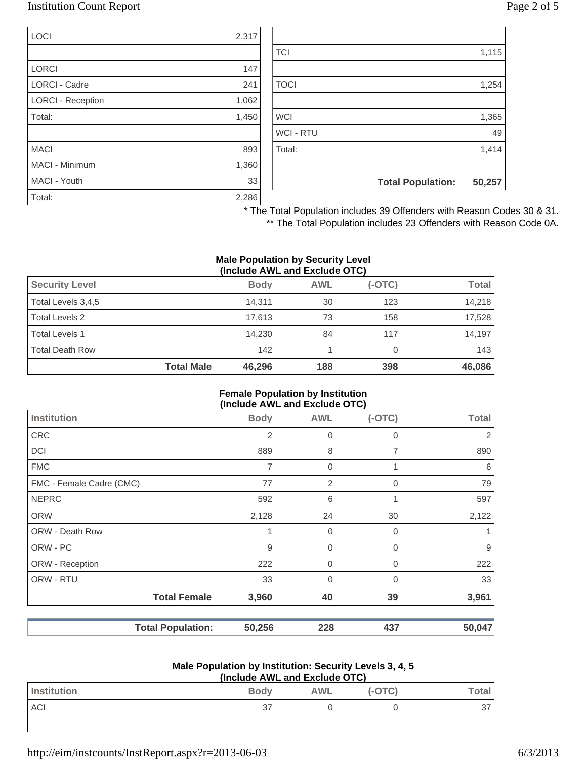### Institution Count Report Page 2 of 5

| <b>LOCI</b>       | 2,317 |
|-------------------|-------|
|                   |       |
| <b>LORCI</b>      | 147   |
| LORCI - Cadre     | 241   |
| LORCI - Reception | 1,062 |
| Total:            | 1,450 |
|                   |       |
| <b>MACI</b>       | 893   |
| MACI - Minimum    | 1,360 |
| MACI - Youth      | 33    |
| Total:            | 2,286 |

|                  | <b>Total Population:</b> | 50,257 |
|------------------|--------------------------|--------|
|                  |                          |        |
| Total:           |                          | 1,414  |
| <b>WCI - RTU</b> |                          | 49     |
| <b>WCI</b>       |                          | 1,365  |
|                  |                          |        |
| <b>TOCI</b>      |                          | 1,254  |
|                  |                          |        |
| <b>TCI</b>       |                          | 1,115  |
|                  |                          |        |

\* The Total Population includes 39 Offenders with Reason Codes 30 & 31.

\*\* The Total Population includes 23 Offenders with Reason Code 0A.

#### **Male Population by Security Level (Include AWL and Exclude OTC)**

| <b>Security Level</b>  |                   | <b>Body</b> | <b>AWL</b> | $(-OTC)$ | <b>Total</b> |
|------------------------|-------------------|-------------|------------|----------|--------------|
| Total Levels 3,4,5     |                   | 14.311      | 30         | 123      | 14,218       |
| Total Levels 2         |                   | 17.613      | 73         | 158      | 17,528       |
| <b>Total Levels 1</b>  |                   | 14.230      | 84         | 117      | 14.197       |
| <b>Total Death Row</b> |                   | 142         |            |          | 143          |
|                        | <b>Total Male</b> | 46,296      | 188        | 398      | 46,086       |

#### **Female Population by Institution (Include AWL and Exclude OTC)**

|                          |             | $(1101000)$ and the thousand $(0.0000)$ |                |              |
|--------------------------|-------------|-----------------------------------------|----------------|--------------|
| <b>Institution</b>       | <b>Body</b> | <b>AWL</b>                              | $(-OTC)$       | <b>Total</b> |
| <b>CRC</b>               | 2           | $\mathbf 0$                             | 0              | 2            |
| <b>DCI</b>               | 889         | 8                                       | 7              | 890          |
| <b>FMC</b>               | 7           | 0                                       |                | 6            |
| FMC - Female Cadre (CMC) | 77          | 2                                       | $\overline{0}$ | 79           |
| <b>NEPRC</b>             | 592         | 6                                       |                | 597          |
| <b>ORW</b>               | 2,128       | 24                                      | 30             | 2,122        |
| ORW - Death Row          |             | $\mathbf 0$                             | $\Omega$       |              |
| ORW - PC                 | 9           | $\mathbf 0$                             | $\mathbf 0$    | 9            |
| ORW - Reception          | 222         | $\mathbf 0$                             | 0              | 222          |
| ORW - RTU                | 33          | $\mathbf 0$                             | $\Omega$       | 33           |
| <b>Total Female</b>      | 3,960       | 40                                      | 39             | 3,961        |
| <b>Total Population:</b> | 50,256      | 228                                     | 437            | 50,047       |

#### **Male Population by Institution: Security Levels 3, 4, 5 (Include AWL and Exclude OTC)**

| (include AVVL and Exclude OTC) |             |            |          |                         |
|--------------------------------|-------------|------------|----------|-------------------------|
| Institution                    | <b>Body</b> | <b>AWL</b> | $(-OTC)$ | $\mathsf{Total}_{\bot}$ |
| ACI                            | 37          |            |          |                         |
|                                |             |            |          |                         |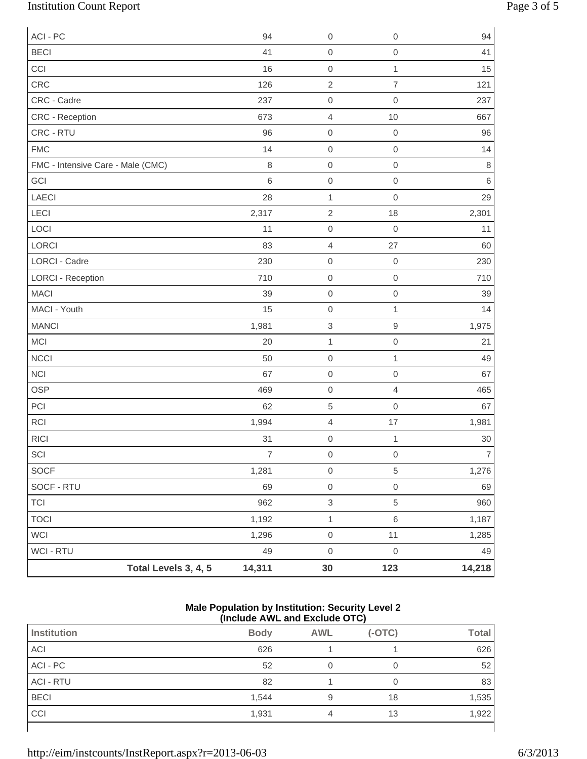# Institution Count Report Page 3 of 5

| ACI - PC                          |                      | 94             | $\boldsymbol{0}$          | 0                | 94             |
|-----------------------------------|----------------------|----------------|---------------------------|------------------|----------------|
| <b>BECI</b>                       |                      | 41             | $\mbox{O}$                | $\mathbf 0$      | 41             |
| CCI                               |                      | 16             | $\mbox{O}$                | $\mathbf{1}$     | 15             |
| CRC                               |                      | 126            | $\sqrt{2}$                | $\overline{7}$   | 121            |
| CRC - Cadre                       |                      | 237            | $\mbox{O}$                | $\mathbf 0$      | 237            |
| CRC - Reception                   |                      | 673            | $\overline{4}$            | 10               | 667            |
| CRC - RTU                         |                      | 96             | $\mathbf 0$               | $\mathbf 0$      | 96             |
| <b>FMC</b>                        |                      | 14             | $\mathsf{O}\xspace$       | $\,0\,$          | 14             |
| FMC - Intensive Care - Male (CMC) |                      | $\,8\,$        | $\mathbf 0$               | $\mathbf 0$      | $\,8\,$        |
| GCI                               |                      | $\,6$          | $\mbox{O}$                | $\mathbf 0$      | $\,6$          |
| LAECI                             |                      | 28             | $\mathbf{1}$              | $\mathbf 0$      | 29             |
| LECI                              |                      | 2,317          | $\sqrt{2}$                | 18               | 2,301          |
| LOCI                              |                      | 11             | $\mbox{O}$                | $\mathbf 0$      | 11             |
| LORCI                             |                      | 83             | $\overline{4}$            | 27               | 60             |
| <b>LORCI - Cadre</b>              |                      | 230            | $\mbox{O}$                | $\mathbf 0$      | 230            |
| <b>LORCI - Reception</b>          |                      | 710            | $\mbox{O}$                | $\mathbf 0$      | 710            |
| <b>MACI</b>                       |                      | 39             | $\mathbf 0$               | $\mathbf 0$      | 39             |
| MACI - Youth                      |                      | 15             | $\mbox{O}$                | $\mathbf{1}$     | 14             |
| <b>MANCI</b>                      |                      | 1,981          | $\ensuremath{\mathsf{3}}$ | $\mathsf 9$      | 1,975          |
| MCI                               |                      | 20             | $\mathbf{1}$              | $\mathbf 0$      | 21             |
| <b>NCCI</b>                       |                      | 50             | $\mbox{O}$                | $\mathbf{1}$     | 49             |
| <b>NCI</b>                        |                      | 67             | $\mathbf 0$               | $\mathbf 0$      | 67             |
| <b>OSP</b>                        |                      | 469            | $\mbox{O}$                | $\overline{4}$   | 465            |
| PCI                               |                      | 62             | $\,$ 5 $\,$               | $\mathbf 0$      | 67             |
| <b>RCI</b>                        |                      | 1,994          | $\sqrt{4}$                | 17               | 1,981          |
| <b>RICI</b>                       |                      | 31             | $\mbox{O}$                | $\mathbf 1$      | $30\,$         |
| $\ensuremath{\mathsf{SCI}}$       |                      | $\overline{7}$ | $\mathsf{O}\xspace$       | $\boldsymbol{0}$ | $\overline{7}$ |
| <b>SOCF</b>                       |                      | 1,281          | $\mathsf{O}\xspace$       | $\,$ 5 $\,$      | 1,276          |
| SOCF - RTU                        |                      | 69             | $\mbox{O}$                | $\mathbf 0$      | 69             |
| <b>TCI</b>                        |                      | 962            | $\ensuremath{\mathsf{3}}$ | $\,$ 5 $\,$      | 960            |
| <b>TOCI</b>                       |                      | 1,192          | $\mathbf{1}$              | $\,6$            | 1,187          |
| WCI                               |                      | 1,296          | $\mathsf{O}\xspace$       | 11               | 1,285          |
| WCI - RTU                         |                      | 49             | $\mathbf 0$               | $\,0\,$          | 49             |
|                                   | Total Levels 3, 4, 5 | 14,311         | 30                        | 123              | 14,218         |

#### **Male Population by Institution: Security Level 2 (Include AWL and Exclude OTC)**

| <b>Institution</b> | <b>Body</b> | <b>AWL</b> | $(-OTC)$ | <b>Total</b> |
|--------------------|-------------|------------|----------|--------------|
| <b>ACI</b>         | 626         |            |          | 626          |
| ACI - PC           | 52          |            |          | 52           |
| <b>ACI - RTU</b>   | 82          |            |          | 83           |
| <b>BECI</b>        | 1,544       | 9          | 18       | 1,535        |
| CCI                | 1,931       | 4          | 13       | 1,922        |
|                    |             |            |          |              |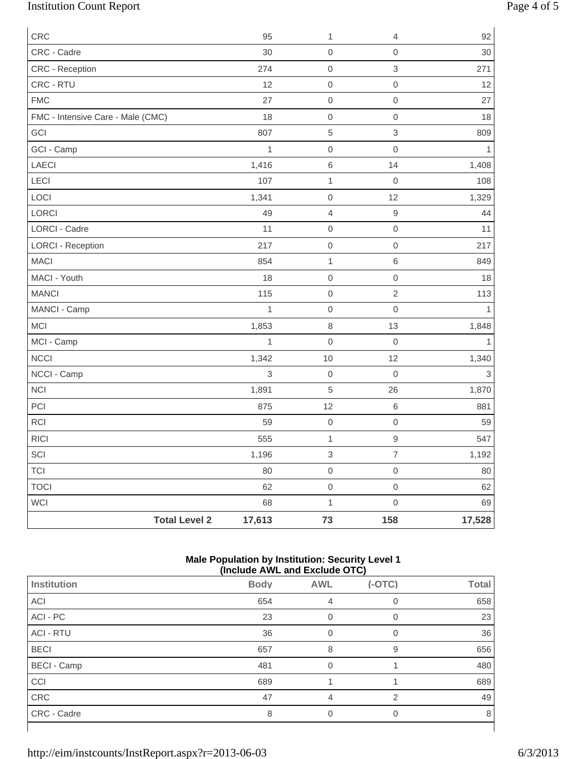# Institution Count Report Page 4 of 5

| CRC                               | 95                             | 1                   | $\overline{4}$      | 92           |
|-----------------------------------|--------------------------------|---------------------|---------------------|--------------|
| CRC - Cadre                       | 30                             | $\mathsf 0$         | $\mathsf{O}\xspace$ | 30           |
| CRC - Reception                   | 274                            | $\mathbf 0$         | $\,$ 3 $\,$         | 271          |
| CRC - RTU                         | 12                             | $\mathbf 0$         | $\mathsf{O}\xspace$ | 12           |
| <b>FMC</b>                        | 27                             | $\mathbf 0$         | $\mathsf{O}\xspace$ | 27           |
| FMC - Intensive Care - Male (CMC) | 18                             | $\mathbf 0$         | $\mathsf{O}\xspace$ | 18           |
| GCI                               | 807                            | $\sqrt{5}$          | 3                   | 809          |
| GCI - Camp                        | $\mathbf{1}$                   | $\mathbf 0$         | $\mathsf{O}\xspace$ | 1            |
| LAECI                             | 1,416                          | $\,6\,$             | 14                  | 1,408        |
| LECI                              | 107                            | $\mathbf 1$         | $\mathbf 0$         | 108          |
| LOCI                              | 1,341                          | $\mathbf 0$         | 12                  | 1,329        |
| LORCI                             | 49                             | $\overline{4}$      | $\hbox{9}$          | 44           |
| <b>LORCI - Cadre</b>              | 11                             | $\mathsf{O}\xspace$ | $\mathsf{O}\xspace$ | 11           |
| <b>LORCI - Reception</b>          | 217                            | $\mathbf 0$         | $\mathsf{O}\xspace$ | 217          |
| <b>MACI</b>                       | 854                            | $\mathbf{1}$        | $\,6$               | 849          |
| MACI - Youth                      | 18                             | $\mathbf 0$         | $\mathsf{O}\xspace$ | 18           |
| <b>MANCI</b>                      | 115                            | $\mathbf 0$         | $\overline{2}$      | 113          |
| MANCI - Camp                      | 1                              | $\mathbf 0$         | $\mathsf{O}\xspace$ | 1            |
| <b>MCI</b>                        | 1,853                          | $\,8\,$             | 13                  | 1,848        |
| MCI - Camp                        | $\mathbf{1}$                   | $\mathsf{O}\xspace$ | $\mathbf 0$         | $\mathbf{1}$ |
| <b>NCCI</b>                       | 1,342                          | 10                  | 12                  | 1,340        |
| NCCI - Camp                       | 3                              | $\mathbf 0$         | $\mathbf 0$         | $\mathsf 3$  |
| <b>NCI</b>                        | 1,891                          | $\,$ 5 $\,$         | 26                  | 1,870        |
| PCI                               | 875                            | 12                  | $\,6$               | 881          |
| RCI                               | 59                             | $\mathsf{O}\xspace$ | $\mathsf{O}\xspace$ | 59           |
| <b>RICI</b>                       | 555                            | $\mathbf{1}$        | $\hbox{9}$          | 547          |
| $\ensuremath{\mathsf{SCI}}$       | 1,196                          | $\mathfrak{S}$      | $\overline{7}$      | 1,192        |
| <b>TCI</b>                        | 80                             | $\mathbf 0$         | $\mathsf{O}\xspace$ | 80           |
| <b>TOCI</b>                       | 62                             | $\mathsf{O}\xspace$ | $\mathsf{O}\xspace$ | 62           |
| WCI                               | 68                             | $\mathbf{1}$        | $\mathsf{O}\xspace$ | 69           |
|                                   | <b>Total Level 2</b><br>17,613 | 73                  | 158                 | 17,528       |

### **Male Population by Institution: Security Level 1 (Include AWL and Exclude OTC)**

| $(110100C)$ and the column $(010)$ |             |            |          |              |  |
|------------------------------------|-------------|------------|----------|--------------|--|
| Institution                        | <b>Body</b> | <b>AWL</b> | $(-OTC)$ | <b>Total</b> |  |
| ACI                                | 654         | 4          | 0        | 658          |  |
| ACI - PC                           | 23          |            | O        | 23           |  |
| <b>ACI - RTU</b>                   | 36          | 0          | 0        | 36           |  |
| <b>BECI</b>                        | 657         | 8          | 9        | 656          |  |
| <b>BECI</b> - Camp                 | 481         | 0          |          | 480          |  |
| CCI                                | 689         |            |          | 689          |  |
| CRC                                | 47          | 4          | 2        | 49           |  |
| CRC - Cadre                        | 8           | O          | $\Omega$ | 8            |  |
|                                    |             |            |          |              |  |